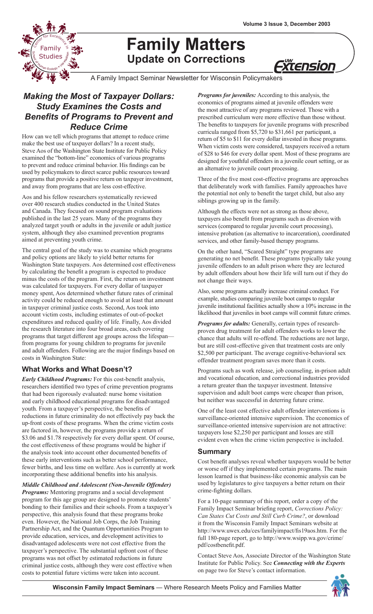

# **Family Matters Update on Corrections**



A Family Impact Seminar Newsletter for Wisconsin Policymakers

# *Making the Most of Taxpayer Dollars: Study Examines the Costs and Benefits of Programs to Prevent and Reduce Crime*

How can we tell which programs that attempt to reduce crime make the best use of taxpayer dollars? In a recent study, Steve Aos of the Washington State Institute for Public Policy examined the "bottom-line" economics of various programs to prevent and reduce criminal behavior. His findings can be used by policymakers to direct scarce public resources toward programs that provide a positive return on taxpayer investment, and away from programs that are less cost-effective.

Aos and his fellow researchers systematically reviewed over 400 research studies conducted in the United States and Canada. They focused on sound program evaluations published in the last 25 years. Many of the programs they analyzed target youth or adults in the juvenile or adult justice system, although they also examined prevention programs aimed at preventing youth crime.

The central goal of the study was to examine which programs and policy options are likely to yield better returns for Washington State taxpayers. Aos determined cost effectiveness by calculating the benefit a program is expected to produce minus the costs of the program. First, the return on investment was calculated for taxpayers. For every dollar of taxpayer money spent, Aos determined whether future rates of criminal activity could be reduced enough to avoid at least that amount in taxpayer criminal justice costs. Second, Aos took into account victim costs, including estimates of out-of-pocket expenditures and reduced quality of life. Finally, Aos divided the research literature into four broad areas, each covering programs that target different age groups across the lifespan from programs for young children to programs for juvenile and adult offenders. Following are the major findings based on costs in Washington State:

## **What Works and What Doesn't?**

*Early Childhood Programs:* For this cost-benefit analysis, researchers identified two types of crime prevention programs that had been rigorously evaluated: nurse home visitation and early childhood educational programs for disadvantaged youth. From a taxpayer's perspective, the benefits of reductions in future criminality do not effectively pay back the up-front costs of these programs. When the crime victim costs are factored in, however, the programs provide a return of \$3.06 and \$1.78 respectively for every dollar spent. Of course, the cost effectiveness of these programs would be higher if the analysis took into account other documented benefits of these early interventions such as better school performance, fewer births, and less time on welfare. Aos is currently at work incorporating these additional benefits into his analysis.

*Middle Childhood and Adolescent (Non-Juvenile Offender) Programs:* Mentoring programs and a social development program for this age group are designed to promote students' bonding to their families and their schools. From a taxpayer's perspective, this analysis found that these programs broke even. However, the National Job Corps, the Job Training Partnership Act, and the Quantum Opportunities Program to provide education, services, and development activities to disadvantaged adolescents were not cost effective from the taxpayer's perspective. The substantial upfront cost of these programs was not offset by estimated reductions in future criminal justice costs, although they were cost effective when costs to potential future victims were taken into account.

*Programs for juveniles:* According to this analysis, the economics of programs aimed at juvenile offenders were the most attractive of any programs reviewed. Those with a prescribed curriculum were more effective than those without. The benefits to taxpayers for juvenile programs with prescribed curricula ranged from \$5,720 to \$31,661 per participant, a return of \$5 to \$11 for every dollar invested in these programs. When victim costs were considered, taxpayers received a return of \$28 to \$46 for every dollar spent. Most of these programs are designed for youthful offenders in a juvenile court setting, or as an alternative to juvenile court processing.

Three of the five most cost-effective programs are approaches that deliberately work with families. Family approaches have the potential not only to benefit the target child, but also any siblings growing up in the family.

Although the effects were not as strong as those above, taxpayers also benefit from programs such as diversion with services (compared to regular juvenile court processing), intensive probation (as alternative to incarceration), coordinated services, and other family-based therapy programs.

On the other hand, "Scared Straight" type programs are generating no net benefit. These programs typically take young juvenile offenders to an adult prison where they are lectured by adult offenders about how their life will turn out if they do not change their ways.

Also, some programs actually increase criminal conduct. For example, studies comparing juvenile boot camps to regular juvenile institutional facilities actually show a 10% increase in the likelihood that juveniles in boot camps will commit future crimes.

*Programs for adults:* Generally, certain types of researchproven drug treatment for adult offenders works to lower the chance that adults will re-offend. The reductions are not large, but are still cost-effective given that treatment costs are only \$2,500 per participant. The average cognitive-behavioral sex offender treatment program saves more than it costs.

Programs such as work release, job counseling, in-prison adult and vocational education, and correctional industries provided a return greater than the taxpayer investment. Intensive supervision and adult boot camps were cheaper than prison, but neither was successful in deterring future crime.

One of the least cost effective adult offender interventions is surveillance-oriented intensive supervision. The economics of surveillance-oriented intensive supervision are not attractive: taxpayers lose \$2,250 per participant and losses are still evident even when the crime victim perspective is included.

## **Summary**

Cost benefit analyses reveal whether taxpayers would be better or worse off if they implemented certain programs. The main lesson learned is that business-like economic analysis can be used by legislatures to give taxpayers a better return on their crime-fighting dollars.

For a 10-page summary of this report, order a copy of the Family Impact Seminar briefing report, *Corrections Policy: Can States Cut Costs and Still Curb Crime?*, or download it from the Wisconsin Family Impact Seminars website at http://www.uwex.edu/ces/familyimpact/fis19aos.htm. For the full 180-page report, go to http://www.wsipp.wa.gov/crime/ pdf/costbenefit.pdf.

Contact Steve Aos, Associate Director of the Washington State Institute for Public Policy. See *Connecting with the Experts* on page two for Steve's contact information.